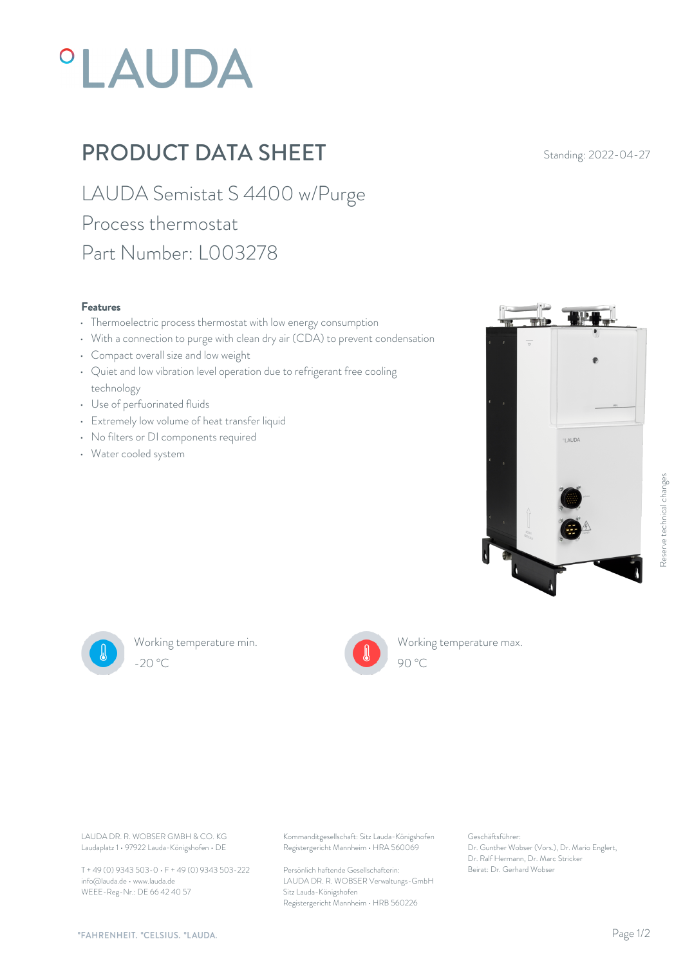# *°LAUDA*

## PRODUCT DATA SHEET Standing: 2022-04-27

LAUDA Semistat S 4400 w/Purge Process thermostat Part Number: L003278

#### Features

- Thermoelectric process thermostat with low energy consumption
- With a connection to purge with clean dry air (CDA) to prevent condensation
- Compact overall size and low weight
- Quiet and low vibration level operation due to refrigerant free cooling technology
- Use of perfuorinated fluids
- Extremely low volume of heat transfer liquid
- No filters or DI components required
- Water cooled system





Working temperature min. -20 °C 90 °C



Working temperature max. 90 °C

Laudaplatz 1 • 97922 Lauda-Königshofen • DE

T + 49 (0) 9343 503-0 • F + 49 (0) 9343 503-222 info@lauda.de • www.lauda.de WEEE-Reg-Nr.: DE 66 42 40 57

LAUDA DR. R. WOBSER GMBH & CO. KG Kommanditgesellschaft: Sitz Lauda-Königshofen Geschäftsführer: Registergericht Mannheim • HRA 560069

> Persönlich haftende Gesellschafterin: Beirat: Dr. Gerhard Wobse LAUDA DR. R. WOBSER Verwaltungs-GmbH Sitz Lauda-Königshofen Registergericht Mannheim • HRB 560226

Geschäftsführer: Dr. Gunther Wobser (Vors.), Dr. Mario Englert, Dr. Ralf Hermann, Dr. Marc Stricker